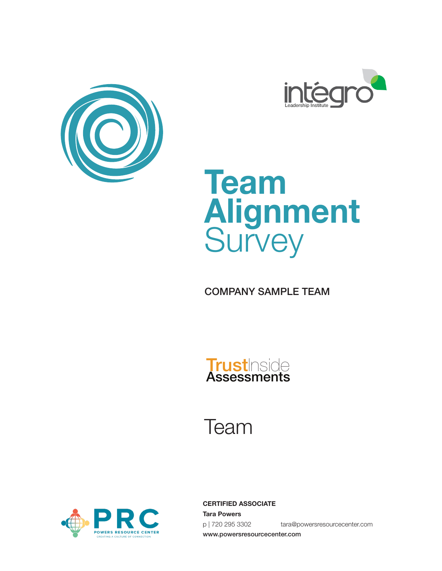





COMPANY SAMPLE TEAM



# Team



**CERTIFIED ASSOCIATE Tara Powers** p | 720 295 3302 tara@powersresourcecenter.com www.powersresourcecenter.com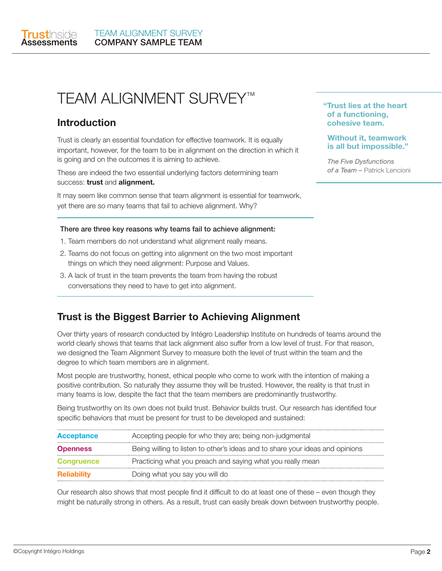

# TEAM ALIGNMENT SURVEY™

#### **Introduction**

Trust is clearly an essential foundation for effective teamwork. It is equally important, however, for the team to be in alignment on the direction in which it is going and on the outcomes it is aiming to achieve.

These are indeed the two essential underlying factors determining team success: **trust** and **alignment.**

It may seem like common sense that team alignment is essential for teamwork, yet there are so many teams that fail to achieve alignment. Why?

#### There are three key reasons why teams fail to achieve alignment:

- 1. Team members do not understand what alignment really means.
- 2. Teams do not focus on getting into alignment on the two most important things on which they need alignment: Purpose and Values.
- 3. A lack of trust in the team prevents the team from having the robust conversations they need to have to get into alignment.

### **Trust is the Biggest Barrier to Achieving Alignment**

Over thirty years of research conducted by Intégro Leadership Institute on hundreds of teams around the world clearly shows that teams that lack alignment also suffer from a low level of trust. For that reason, we designed the Team Alignment Survey to measure both the level of trust within the team and the degree to which team members are in alignment.

Most people are trustworthy, honest, ethical people who come to work with the intention of making a positive contribution. So naturally they assume they will be trusted. However, the reality is that trust in many teams is low, despite the fact that the team members are predominantly trustworthy.

Being trustworthy on its own does not build trust. Behavior builds trust. Our research has identified four specific behaviors that must be present for trust to be developed and sustained:

| <b>Acceptance</b>  | Accepting people for who they are; being non-judgmental                       |
|--------------------|-------------------------------------------------------------------------------|
| <b>Openness</b>    | Being willing to listen to other's ideas and to share your ideas and opinions |
| <b>Congruence</b>  | Practicing what you preach and saying what you really mean                    |
| <b>Reliability</b> | Doing what you say you will do                                                |

Our research also shows that most people find it difficult to do at least one of these – even though they might be naturally strong in others. As a result, trust can easily break down between trustworthy people.

#### **"Trust lies at the heart of a functioning, cohesive team.**

#### **Without it, teamwork is all but impossible."**

*The Five Dysfunctions of a Team –* Patrick Lencioni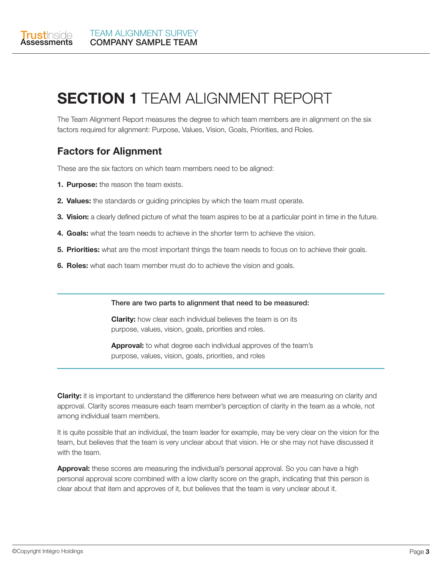

# **SECTION 1** TEAM ALIGNMENT REPORT

The Team Alignment Report measures the degree to which team members are in alignment on the six factors required for alignment: Purpose, Values, Vision, Goals, Priorities, and Roles.

### **Factors for Alignment**

These are the six factors on which team members need to be aligned:

- **1. Purpose:** the reason the team exists.
- **2. Values:** the standards or guiding principles by which the team must operate.
- **3. Vision:** a clearly defined picture of what the team aspires to be at a particular point in time in the future.
- **4. Goals:** what the team needs to achieve in the shorter term to achieve the vision.
- **5. Priorities:** what are the most important things the team needs to focus on to achieve their goals.
- **6. Roles:** what each team member must do to achieve the vision and goals.

#### There are two parts to alignment that need to be measured:

**Clarity:** how clear each individual believes the team is on its purpose, values, vision, goals, priorities and roles.

**Approval:** to what degree each individual approves of the team's purpose, values, vision, goals, priorities, and roles

**Clarity:** it is important to understand the difference here between what we are measuring on clarity and approval. Clarity scores measure each team member's perception of clarity in the team as a whole, not among individual team members.

It is quite possible that an individual, the team leader for example, may be very clear on the vision for the team, but believes that the team is very unclear about that vision. He or she may not have discussed it with the team.

**Approval:** these scores are measuring the individual's personal approval. So you can have a high personal approval score combined with a low clarity score on the graph, indicating that this person is clear about that item and approves of it, but believes that the team is very unclear about it.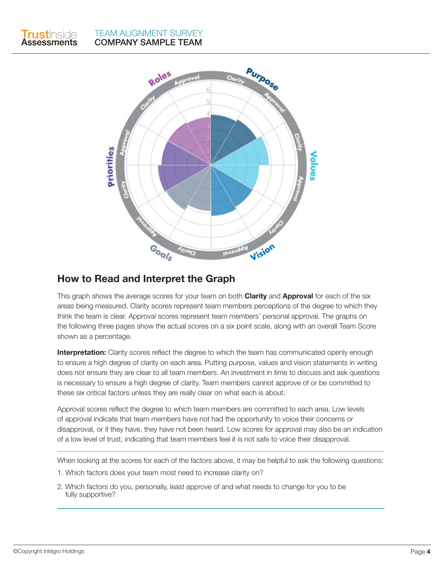



#### **How to Read and Interpret the Graph**

This graph shows the average scores for your team on both **Clarity** and **Approval** for each of the six areas being measured. Clarity scores represent team members perceptions of the degree to which they think the team is clear. Approval scores represent team members' personal approval. The graphs on the following three pages show the actual scores on a six point scale, along with an overall Team Score shown as a percentage.

**Interpretation:** Clarity scores reflect the degree to which the team has communicated openly enough to ensure a high degree of clarity on each area. Putting purpose, values and vision statements in writing does not ensure they are clear to all team members. An investment in time to discuss and ask questions is necessary to ensure a high degree of clarity. Team members cannot approve of or be committed to these six critical factors unless they are really clear on what each is about.

Approval scores reflect the degree to which team members are committed to each area. Low levels of approval indicate that team members have not had the opportunity to voice their concerns or disapproval, or if they have, they have not been heard. Low scores for approval may also be an indication of a low level of trust, indicating that team members feel it is not safe to voice their disapproval.

When looking at the scores for each of the factors above, it may be helpful to ask the following questions:

- 1. Which factors does your team most need to increase clarity on?
- 2. Which factors do you, personally, least approve of and what needs to change for you to be fully supportive?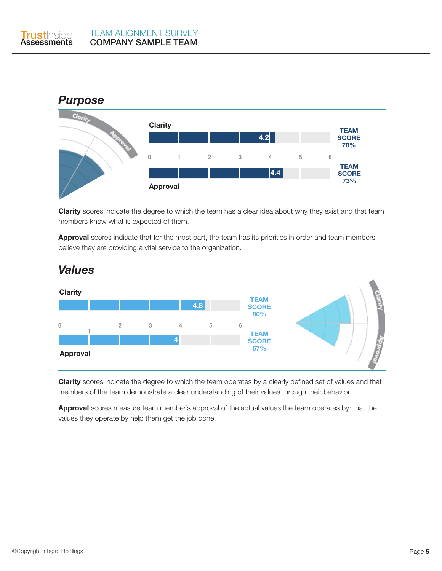



**Clarity** scores indicate the degree to which the team has a clear idea about why they exist and that team members know what is expected of them.

**Approval** scores indicate that for the most part, the team has its priorities in order and team members believe they are providing a vital service to the organization.



# *Values*

**Clarity** scores indicate the degree to which the team operates by a clearly defined set of values and that members of the team demonstrate a clear understanding of their values through their behavior.

**Approval** scores measure team member's approval of the actual values the team operates by: that the values they operate by help them get the job done.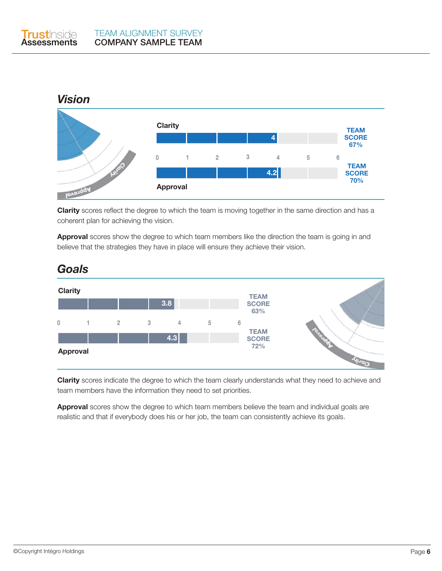

**Clarity** scores reflect the degree to which the team is moving together in the same direction and has a coherent plan for achieving the vision.

**Approval** scores show the degree to which team members like the direction the team is going in and believe that the strategies they have in place will ensure they achieve their vision.



**Clarity** scores indicate the degree to which the team clearly understands what they need to achieve and team members have the information they need to set priorities.

**Approval** scores show the degree to which team members believe the team and individual goals are realistic and that if everybody does his or her job, the team can consistently achieve its goals.

# *Goals*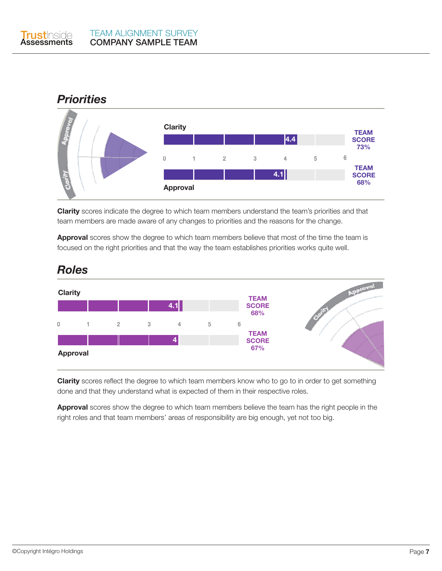

### *Priorities*



**Clarity** scores indicate the degree to which team members understand the team's priorities and that team members are made aware of any changes to priorities and the reasons for the change.

**Approval** scores show the degree to which team members believe that most of the time the team is focused on the right priorities and that the way the team establishes priorities works quite well.



# *Roles*

**Clarity** scores reflect the degree to which team members know who to go to in order to get something done and that they understand what is expected of them in their respective roles.

**Approval** scores show the degree to which team members believe the team has the right people in the right roles and that team members' areas of responsibility are big enough, yet not too big.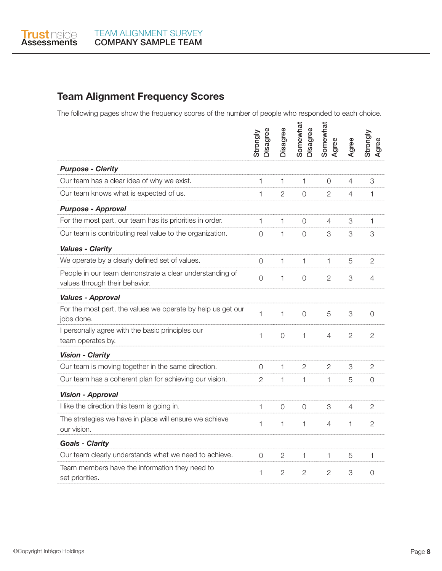

## **Team Alignment Frequency Scores**

The following pages show the frequency scores of the number of people who responded to each choice.

|                                                                                           | Disagree<br>Strongly | Disagree       | Somewhat<br>Disagree | Somewhat<br>Agree | Agree          | Strongly<br>Agree |
|-------------------------------------------------------------------------------------------|----------------------|----------------|----------------------|-------------------|----------------|-------------------|
| <b>Purpose - Clarity</b>                                                                  |                      |                |                      |                   |                |                   |
| Our team has a clear idea of why we exist.                                                | 1                    | 1              | $\mathbf{1}$         | $\Omega$          | 4              | 3                 |
| Our team knows what is expected of us.                                                    | 1                    | $\overline{2}$ | $\Omega$             | $\overline{2}$    | 4              | 1                 |
| <b>Purpose - Approval</b>                                                                 |                      |                |                      |                   |                |                   |
| For the most part, our team has its priorities in order.                                  | 1                    | $\mathbf{1}$   | $\Omega$             | 4                 | 3              | 1                 |
| Our team is contributing real value to the organization.                                  | $\mathcal{O}$        | $\mathbf{1}$   | $\Omega$             | 3                 | 3              | 3                 |
| <b>Values - Clarity</b>                                                                   |                      |                |                      |                   |                |                   |
| We operate by a clearly defined set of values.                                            | 0                    | 1              | $\mathbf{1}$         | 1                 | 5              | 2                 |
| People in our team demonstrate a clear understanding of<br>values through their behavior. | $\overline{O}$       | 1              | $\overline{0}$       | $\overline{2}$    | 3              | 4                 |
| <b>Values - Approval</b>                                                                  |                      |                |                      |                   |                |                   |
| For the most part, the values we operate by help us get our<br>jobs done.                 | 1                    | 1              | $\mathbf 0$          | 5                 | 3              | 0                 |
| I personally agree with the basic principles our<br>team operates by.                     | $\mathbf 1$          | $\mathbf 0$    | $\mathbf{1}$         | $\overline{4}$    | $\overline{2}$ | $\overline{2}$    |
| <b>Vision - Clarity</b>                                                                   |                      |                |                      |                   |                |                   |
| Our team is moving together in the same direction.                                        | 0                    | 1              | $\overline{2}$       | $\overline{2}$    | 3              | $\overline{2}$    |
| Our team has a coherent plan for achieving our vision.                                    | $\overline{2}$       | 1              | $\mathbf{1}$         | 1                 | 5              | 0                 |
| <b>Vision - Approval</b>                                                                  |                      |                |                      |                   |                |                   |
| I like the direction this team is going in.                                               | 1                    | $\overline{0}$ | 0                    | 3                 | 4              | 2                 |
| The strategies we have in place will ensure we achieve<br>our vision.                     | 1                    | $\mathbf{1}$   | $\mathbf{1}$         | 4                 | $\mathbf{1}$   | $\overline{2}$    |
| <b>Goals - Clarity</b>                                                                    |                      |                |                      |                   |                |                   |
| Our team clearly understands what we need to achieve.                                     | 0                    | 2              | $\mathbf{1}$         | 1                 | 5              | 1                 |
| Team members have the information they need to<br>set priorities.                         | 1                    | $\overline{2}$ | $\mathfrak{D}$       | $\overline{2}$    | 3              | $\Omega$          |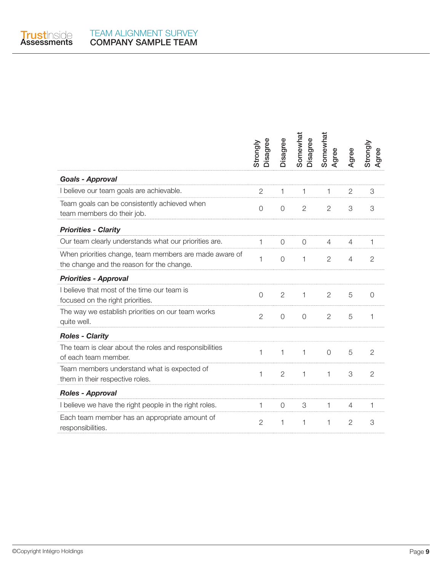

|                                                                                                     | Disagree<br>Strongly | Disagree       | Somewhat<br>Disagree | Somewhat<br>Agree | Agree          | Strongly<br>Agree |
|-----------------------------------------------------------------------------------------------------|----------------------|----------------|----------------------|-------------------|----------------|-------------------|
| <b>Goals - Approval</b>                                                                             |                      |                |                      |                   |                |                   |
| I believe our team goals are achievable.                                                            | $\mathbf{2}$         | 1              | 1                    | 1                 | $\overline{2}$ | 3                 |
| Team goals can be consistently achieved when<br>team members do their job.                          | $\overline{O}$       | $\overline{O}$ | $\mathbf{2}$         | $\overline{2}$    | 3              | 3                 |
| <b>Priorities - Clarity</b>                                                                         |                      |                |                      |                   |                |                   |
| Our team clearly understands what our priorities are.                                               | 1                    | $\Omega$       | $\Omega$             | $\overline{4}$    | 4              | 1                 |
| When priorities change, team members are made aware of<br>the change and the reason for the change. | 1                    | $\overline{O}$ | $\mathbf{1}$         | $\overline{2}$    | $\overline{4}$ | $\overline{2}$    |
| <b>Priorities - Approval</b>                                                                        |                      |                |                      |                   |                |                   |
| I believe that most of the time our team is<br>focused on the right priorities.                     | $\overline{O}$       | $\overline{2}$ | $\mathbf{1}$         | $\overline{2}$    | 5              | $\overline{O}$    |
| The way we establish priorities on our team works<br>quite well.                                    | $\overline{2}$       | $\overline{0}$ | $\overline{0}$       | $\mathbf{2}$      | 5              | 1                 |
| <b>Roles - Clarity</b>                                                                              |                      |                |                      |                   |                |                   |
| The team is clear about the roles and responsibilities<br>of each team member.                      | 1                    | 1              | 1                    | $\Omega$          | 5              | $\overline{2}$    |
| Team members understand what is expected of<br>them in their respective roles.                      | 1                    | $\overline{2}$ | $\mathbf{1}$         | 1                 | 3              | $\overline{2}$    |
| <b>Roles - Approval</b>                                                                             |                      |                |                      |                   |                |                   |
| I believe we have the right people in the right roles.                                              | 1                    | $\overline{O}$ | 3                    | 1                 | $\overline{4}$ | 1                 |
| Each team member has an appropriate amount of<br>responsibilities.                                  | $\overline{2}$       | 1              | 1                    | 1                 | $\overline{2}$ | 3                 |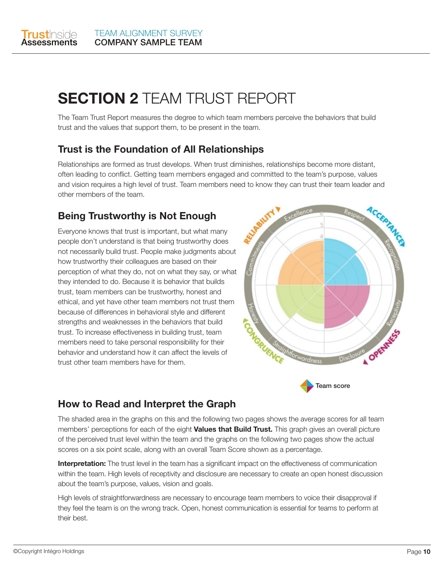

# **SECTION 2** TEAM TRUST REPORT

The Team Trust Report measures the degree to which team members perceive the behaviors that build trust and the values that support them, to be present in the team.

### **Trust is the Foundation of All Relationships**

Relationships are formed as trust develops. When trust diminishes, relationships become more distant, often leading to conflict. Getting team members engaged and committed to the team's purpose, values and vision requires a high level of trust. Team members need to know they can trust their team leader and other members of the team.

## **Being Trustworthy is Not Enough**

Everyone knows that trust is important, but what many people don't understand is that being trustworthy does not necessarily build trust. People make judgments about how trustworthy their colleagues are based on their perception of what they do, not on what they say, or what they intended to do. Because it is behavior that builds trust, team members can be trustworthy, honest and ethical, and yet have other team members not trust them because of differences in behavioral style and different strengths and weaknesses in the behaviors that build trust. To increase effectiveness in building trust, team members need to take personal responsibility for their behavior and understand how it can affect the levels of trust other team members have for them.





### **How to Read and Interpret the Graph**

The shaded area in the graphs on this and the following two pages shows the average scores for all team members' perceptions for each of the eight **Values that Build Trust.** This graph gives an overall picture of the perceived trust level within the team and the graphs on the following two pages show the actual scores on a six point scale, along with an overall Team Score shown as a percentage.

**Interpretation:** The trust level in the team has a significant impact on the effectiveness of communication within the team. High levels of receptivity and disclosure are necessary to create an open honest discussion about the team's purpose, values, vision and goals.

High levels of straightforwardness are necessary to encourage team members to voice their disapproval if they feel the team is on the wrong track. Open, honest communication is essential for teams to perform at their best.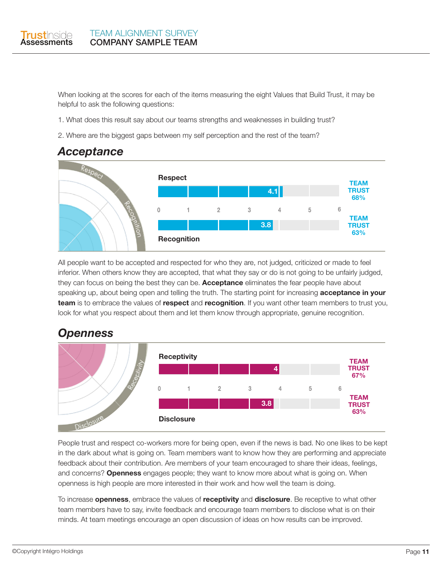

When looking at the scores for each of the items measuring the eight Values that Build Trust, it may be helpful to ask the following questions:

- 1. What does this result say about our teams strengths and weaknesses in building trust?
- 2. Where are the biggest gaps between my self perception and the rest of the team?



All people want to be accepted and respected for who they are, not judged, criticized or made to feel inferior. When others know they are accepted, that what they say or do is not going to be unfairly judged, they can focus on being the best they can be. **Acceptance** eliminates the fear people have about speaking up, about being open and telling the truth. The starting point for increasing **acceptance in your team** is to embrace the values of **respect** and **recognition**. If you want other team members to trust you, look for what you respect about them and let them know through appropriate, genuine recognition.





People trust and respect co-workers more for being open, even if the news is bad. No one likes to be kept in the dark about what is going on. Team members want to know how they are performing and appreciate feedback about their contribution. Are members of your team encouraged to share their ideas, feelings, and concerns? **Openness** engages people; they want to know more about what is going on. When openness is high people are more interested in their work and how well the team is doing.

To increase **openness**, embrace the values of **receptivity** and **disclosure**. Be receptive to what other team members have to say, invite feedback and encourage team members to disclose what is on their minds. At team meetings encourage an open discussion of ideas on how results can be improved.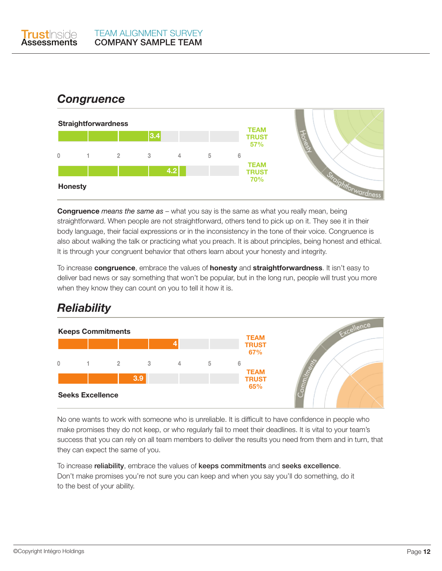

# *Congruence*



**Congruence** *means the same as* – what you say is the same as what you really mean, being straightforward. When people are not straightforward, others tend to pick up on it. They see it in their body language, their facial expressions or in the inconsistency in the tone of their voice. Congruence is also about walking the talk or practicing what you preach. It is about principles, being honest and ethical. It is through your congruent behavior that others learn about your honesty and integrity.

To increase **congruence**, embrace the values of **honesty** and **straightforwardness**. It isn't easy to deliver bad news or say something that won't be popular, but in the long run, people will trust you more when they know they can count on you to tell it how it is.

# *Reliability*



No one wants to work with someone who is unreliable. It is difficult to have confidence in people who make promises they do not keep, or who regularly fail to meet their deadlines. It is vital to your team's success that you can rely on all team members to deliver the results you need from them and in turn, that they can expect the same of you.

To increase reliability, embrace the values of keeps commitments and seeks excellence. Don't make promises you're not sure you can keep and when you say you'll do something, do it to the best of your ability.